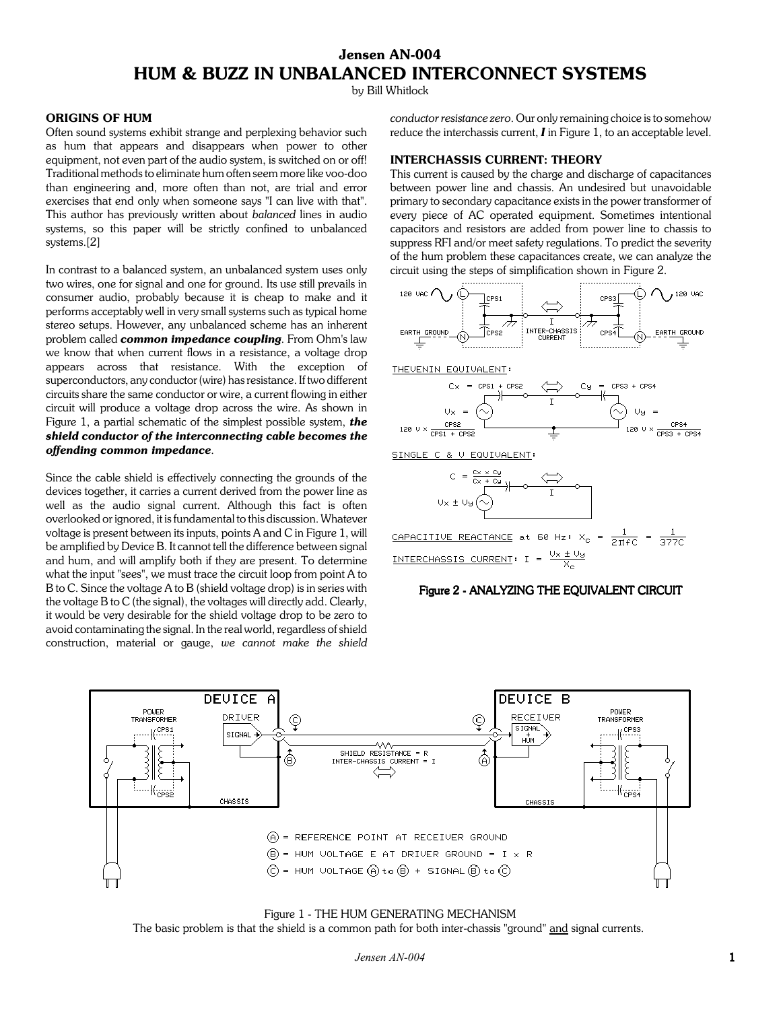# **Jensen AN-004 HUM & BUZZ IN UNBALANCED INTERCONNECT SYSTEMS**

by Bill Whitlock

## **ORIGINS OF HUM**

Often sound systems exhibit strange and perplexing behavior such as hum that appears and disappears when power to other equipment, not even part of the audio system, is switched on or off! Traditional methods to eliminate hum often seem more like voo-doo than engineering and, more often than not, are trial and error exercises that end only when someone says "I can live with that". This author has previously written about *balanced* lines in audio systems, so this paper will be strictly confined to unbalanced systems.[2]

In contrast to a balanced system, an unbalanced system uses only two wires, one for signal and one for ground. Its use still prevails in consumer audio, probably because it is cheap to make and it performs acceptably well in very small systems such as typical home stereo setups. However, any unbalanced scheme has an inherent problem called *common impedance coupling*. From Ohm's law we know that when current flows in a resistance, a voltage drop appears across that resistance. With the exception of superconductors, any conductor (wire) has resistance. If two different circuits share the same conductor or wire, a current flowing in either circuit will produce a voltage drop across the wire. As shown in Figure 1, a partial schematic of the simplest possible system, *the shield conductor of the interconnecting cable becomes the offending common impedance*.

Since the cable shield is effectively connecting the grounds of the devices together, it carries a current derived from the power line as well as the audio signal current. Although this fact is often overlooked or ignored, it is fundamental to this discussion. Whatever voltage is present between its inputs, points A and C in Figure 1, will be amplified by Device B. It cannot tell the difference between signal and hum, and will amplify both if they are present. To determine what the input "sees", we must trace the circuit loop from point A to B to C. Since the voltage A to B (shield voltage drop) is in series with the voltage B to C (the signal), the voltages will directly add. Clearly, it would be very desirable for the shield voltage drop to be zero to avoid contaminating the signal. In the real world, regardless of shield construction, material or gauge, *we cannot make the shield*

*conductor resistance zero*. Our only remaining choice is to somehow reduce the interchassis current, *I* in Figure 1, to an acceptable level.

## **INTERCHASSIS CURRENT: THEORY**

This current is caused by the charge and discharge of capacitances between power line and chassis. An undesired but unavoidable primary to secondary capacitance exists in the power transformer of every piece of AC operated equipment. Sometimes intentional capacitors and resistors are added from power line to chassis to suppress RFI and/or meet safety regulations. To predict the severity of the hum problem these capacitances create, we can analyze the circuit using the steps of simplification shown in Figure 2.



THEVENIN EQUIVALENT:







CAPACITIVE REACTANCE at 60 Hz:  $X_c = \frac{1}{2\pi f C} = \frac{1}{377C}$ <u>INTERCHASSIS CURRENT</u>: I =  $\frac{U \times \pm U g}{X}$ 

## Figure 2 - ANALYZING THE EQUIVALENT CIRCUIT



Figure 1 - THE HUM GENERATING MECHANISM The basic problem is that the shield is a common path for both inter-chassis "ground" and signal currents.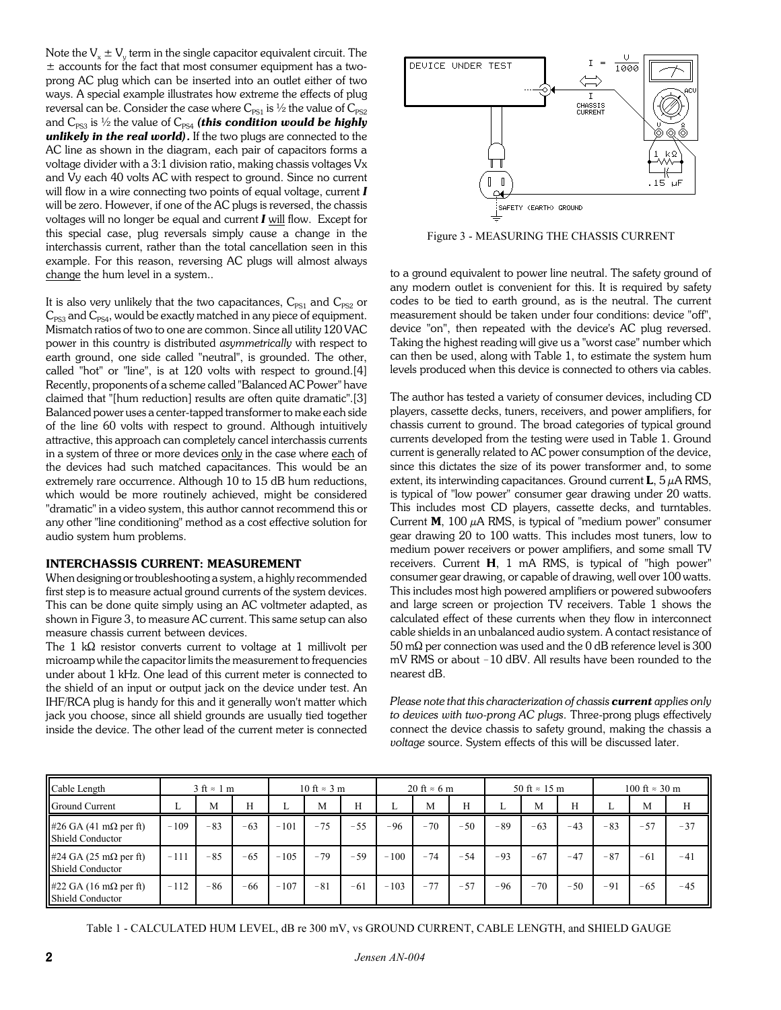Note the  $V_x \pm V_y$  term in the single capacitor equivalent circuit. The  $\pm$  accounts for the fact that most consumer equipment has a twoprong AC plug which can be inserted into an outlet either of two ways. A special example illustrates how extreme the effects of plug reversal can be. Consider the case where  $C_{PS1}$  is  $\frac{1}{2}$  the value of  $C_{PS2}$ and  $C_{PS3}$  is  $\frac{1}{2}$  the value of  $C_{PS4}$  *(this condition would be highly unlikely in the real world).* If the two plugs are connected to the AC line as shown in the diagram, each pair of capacitors forms a voltage divider with a 3:1 division ratio, making chassis voltages Vx and Vy each 40 volts AC with respect to ground. Since no current will flow in a wire connecting two points of equal voltage, current *I* will be zero. However, if one of the AC plugs is reversed, the chassis voltages will no longer be equal and current *I* will flow. Except for this special case, plug reversals simply cause a change in the interchassis current, rather than the total cancellation seen in this example. For this reason, reversing AC plugs will almost always change the hum level in a system..

It is also very unlikely that the two capacitances,  $C_{PS1}$  and  $C_{PS2}$  or  $C_{PS3}$  and  $C_{PS4}$ , would be exactly matched in any piece of equipment. Mismatch ratios of two to one are common. Since all utility 120 VAC power in this country is distributed *asymmetrically* with respect to earth ground, one side called "neutral", is grounded. The other, called "hot" or "line", is at 120 volts with respect to ground.[4] Recently, proponents of a scheme called "Balanced AC Power" have claimed that "[hum reduction] results are often quite dramatic".[3] Balanced power uses a center-tapped transformer to make each side of the line 60 volts with respect to ground. Although intuitively attractive, this approach can completely cancel interchassis currents in a system of three or more devices only in the case where each of the devices had such matched capacitances. This would be an extremely rare occurrence. Although 10 to 15 dB hum reductions, which would be more routinely achieved, might be considered "dramatic" in a video system, this author cannot recommend this or any other "line conditioning" method as a cost effective solution for audio system hum problems.

#### **INTERCHASSIS CURRENT: MEASUREMENT**

When designing or troubleshooting a system, a highly recommended first step is to measure actual ground currents of the system devices. This can be done quite simply using an AC voltmeter adapted, as shown in Figure 3, to measure AC current. This same setup can also measure chassis current between devices.

The 1 k $\Omega$  resistor converts current to voltage at 1 millivolt per microamp while the capacitor limits the measurement to frequencies under about 1 kHz. One lead of this current meter is connected to the shield of an input or output jack on the device under test. An IHF/RCA plug is handy for this and it generally won't matter which jack you choose, since all shield grounds are usually tied together inside the device. The other lead of the current meter is connected



Figure 3 - MEASURING THE CHASSIS CURRENT

to a ground equivalent to power line neutral. The safety ground of any modern outlet is convenient for this. It is required by safety codes to be tied to earth ground, as is the neutral. The current measurement should be taken under four conditions: device "off", device "on", then repeated with the device's AC plug reversed. Taking the highest reading will give us a "worst case" number which can then be used, along with Table 1, to estimate the system hum levels produced when this device is connected to others via cables.

The author has tested a variety of consumer devices, including CD players, cassette decks, tuners, receivers, and power amplifiers, for chassis current to ground. The broad categories of typical ground currents developed from the testing were used in Table 1. Ground current is generally related to AC power consumption of the device, since this dictates the size of its power transformer and, to some extent, its interwinding capacitances. Ground current **L**, 5 µA RMS, is typical of "low power" consumer gear drawing under 20 watts. This includes most CD players, cassette decks, and turntables. Current  $M$ , 100  $\mu$ A RMS, is typical of "medium power" consumer gear drawing 20 to 100 watts. This includes most tuners, low to medium power receivers or power amplifiers, and some small TV receivers. Current **H**, 1 mA RMS, is typical of "high power" consumer gear drawing, or capable of drawing, well over 100 watts. This includes most high powered amplifiers or powered subwoofers and large screen or projection TV receivers. Table 1 shows the calculated effect of these currents when they flow in interconnect cable shields in an unbalanced audio system. A contact resistance of  $50 \text{ m}\Omega$  per connection was used and the 0 dB reference level is 300 mV RMS or about -10 dBV. All results have been rounded to the nearest dB.

*Please note that this characterization of chassis current applies only to devices with two-prong AC plugs*. Three-prong plugs effectively connect the device chassis to safety ground, making the chassis a *voltage* source. System effects of this will be discussed later.

| Cable Length                                             | $3 \text{ ft} \approx 1 \text{ m}$ |       |       | 10 ft $\approx$ 3 m |       |       | 20 ft $\approx$ 6 m |       |       | 50 ft $\approx$ 15 m |       |       | $100 \text{ ft} \approx 30 \text{ m}$ |       |       |
|----------------------------------------------------------|------------------------------------|-------|-------|---------------------|-------|-------|---------------------|-------|-------|----------------------|-------|-------|---------------------------------------|-------|-------|
| Ground Current                                           | ⊷                                  | M     | H     | ⊷                   | M     | Н     | ⊷                   | M     | H     | ⊷                    | M     | H     |                                       | M     | H     |
| #26 GA (41 m $\Omega$ per ft)<br>Shield Conductor        | $-109$                             | $-83$ | $-63$ | $-101$              | $-75$ | $-55$ | $-96$               | $-70$ | $-50$ | $-89$                | $-63$ | $-43$ | $-83$                                 | $-57$ | $-37$ |
| #24 GA (25 m $\Omega$ per ft)<br>Shield Conductor        | $-111$                             | $-85$ | $-65$ | $-105$              | $-79$ | $-59$ | $-100$              | $-74$ | $-54$ | $-93$                | $-67$ | $-47$ | $-87$                                 | $-61$ | $-41$ |
| #22 GA (16 m $\Omega$ per ft)<br><b>Shield Conductor</b> | $-112$                             | $-86$ | $-66$ | $-107$              | $-81$ | $-61$ | $-103$              | $-77$ | $-57$ | $-96$                | $-70$ | $-50$ | $-91$                                 | $-65$ | $-45$ |

Table 1 - CALCULATED HUM LEVEL, dB re 300 mV, vs GROUND CURRENT, CABLE LENGTH, and SHIELD GAUGE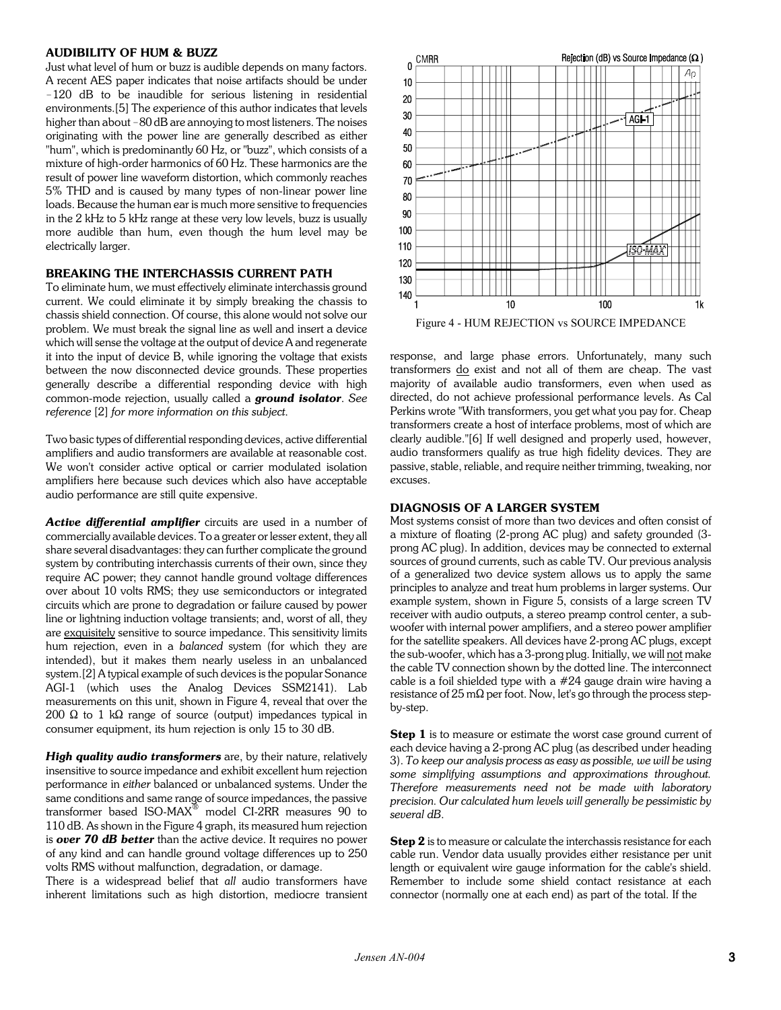## **AUDIBILITY OF HUM & BUZZ**

Just what level of hum or buzz is audible depends on many factors. A recent AES paper indicates that noise artifacts should be under -120 dB to be inaudible for serious listening in residential environments.[5] The experience of this author indicates that levels higher than about -80 dB are annoving to most listeners. The noises originating with the power line are generally described as either "hum", which is predominantly 60 Hz, or "buzz", which consists of a mixture of high-order harmonics of 60 Hz. These harmonics are the result of power line waveform distortion, which commonly reaches 5% THD and is caused by many types of non-linear power line loads. Because the human ear is much more sensitive to frequencies in the 2 kHz to 5 kHz range at these very low levels, buzz is usually more audible than hum, even though the hum level may be electrically larger.

## **BREAKING THE INTERCHASSIS CURRENT PATH**

To eliminate hum, we must effectively eliminate interchassis ground current. We could eliminate it by simply breaking the chassis to chassis shield connection. Of course, this alone would not solve our problem. We must break the signal line as well and insert a device which will sense the voltage at the output of device A and regenerate it into the input of device B, while ignoring the voltage that exists between the now disconnected device grounds. These properties generally describe a differential responding device with high common-mode rejection, usually called a *ground isolator*. *See reference* [2] *for more information on this subject*.

Two basic types of differential responding devices, active differential amplifiers and audio transformers are available at reasonable cost. We won't consider active optical or carrier modulated isolation amplifiers here because such devices which also have acceptable audio performance are still quite expensive.

*Active differential amplifier* circuits are used in a number of commercially available devices. To a greater or lesser extent, they all share several disadvantages: they can further complicate the ground system by contributing interchassis currents of their own, since they require AC power; they cannot handle ground voltage differences over about 10 volts RMS; they use semiconductors or integrated circuits which are prone to degradation or failure caused by power line or lightning induction voltage transients; and, worst of all, they are exquisitely sensitive to source impedance. This sensitivity limits hum rejection, even in a *balanced* system (for which they are intended), but it makes them nearly useless in an unbalanced system.[2] A typical example of such devices is the popular Sonance AGI-1 (which uses the Analog Devices SSM2141). Lab measurements on this unit, shown in Figure 4, reveal that over the 200  $\Omega$  to 1 k $\Omega$  range of source (output) impedances typical in consumer equipment, its hum rejection is only 15 to 30 dB.

*High quality audio transformers* are, by their nature, relatively insensitive to source impedance and exhibit excellent hum rejection performance in *either* balanced or unbalanced systems. Under the same conditions and same range of source impedances, the passive transformer based ISO-MAX $^{\circ\circ}$  model CI-2RR measures 90 to 110 dB. As shown in the Figure 4 graph, its measured hum rejection is *over 70 dB better* than the active device. It requires no power of any kind and can handle ground voltage differences up to 250 volts RMS without malfunction, degradation, or damage.

There is a widespread belief that *all* audio transformers have inherent limitations such as high distortion, mediocre transient



response, and large phase errors. Unfortunately, many such transformers do exist and not all of them are cheap. The vast majority of available audio transformers, even when used as directed, do not achieve professional performance levels. As Cal Perkins wrote "With transformers, you get what you pay for. Cheap transformers create a host of interface problems, most of which are clearly audible."[6] If well designed and properly used, however, audio transformers qualify as true high fidelity devices. They are passive, stable, reliable, and require neither trimming, tweaking, nor excuses.

#### **DIAGNOSIS OF A LARGER SYSTEM**

Most systems consist of more than two devices and often consist of a mixture of floating (2-prong AC plug) and safety grounded (3 prong AC plug). In addition, devices may be connected to external sources of ground currents, such as cable TV. Our previous analysis of a generalized two device system allows us to apply the same principles to analyze and treat hum problems in larger systems. Our example system, shown in Figure 5, consists of a large screen TV receiver with audio outputs, a stereo preamp control center, a subwoofer with internal power amplifiers, and a stereo power amplifier for the satellite speakers. All devices have 2-prong AC plugs, except the sub-woofer, which has a 3-prong plug. Initially, we will not make the cable TV connection shown by the dotted line. The interconnect cable is a foil shielded type with a #24 gauge drain wire having a resistance of 25 m $\Omega$  per foot. Now, let's go through the process stepby-step.

**Step 1** is to measure or estimate the worst case ground current of each device having a 2-prong AC plug (as described under heading 3). *To keep our analysis process as easy as possible, we will be using some simplifying assumptions and approximations throughout. Therefore measurements need not be made with laboratory precision. Our calculated hum levels will generally be pessimistic by several dB*.

**Step 2** is to measure or calculate the interchassis resistance for each cable run. Vendor data usually provides either resistance per unit length or equivalent wire gauge information for the cable's shield. Remember to include some shield contact resistance at each connector (normally one at each end) as part of the total. If the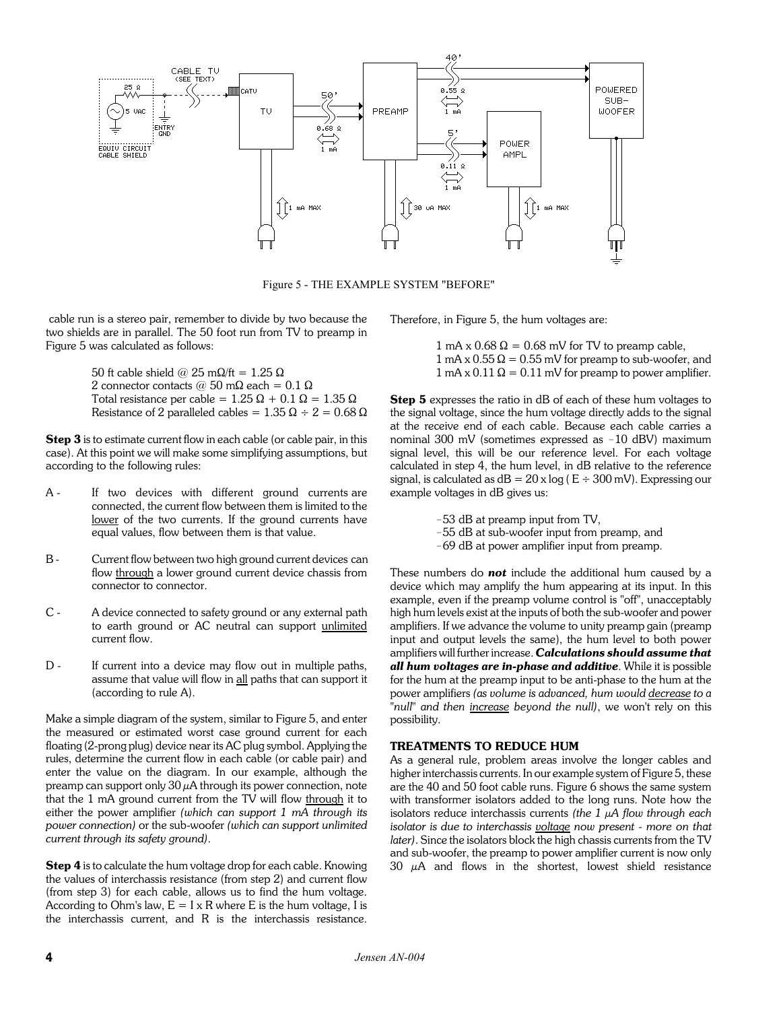

Figure 5 - THE EXAMPLE SYSTEM "BEFORE"

 cable run is a stereo pair, remember to divide by two because the two shields are in parallel. The 50 foot run from TV to preamp in Figure 5 was calculated as follows:

> 50 ft cable shield @ 25 m $\Omega$ /ft = 1.25  $\Omega$ 2 connector contacts @ 50 m $\Omega$  each = 0.1  $\Omega$ Total resistance per cable =  $1.25 \Omega + 0.1 \Omega = 1.35 \Omega$ Resistance of 2 paralleled cables =  $1.35 \Omega \div 2 = 0.68 \Omega$

**Step 3** is to estimate current flow in each cable (or cable pair, in this case). At this point we will make some simplifying assumptions, but according to the following rules:

- A If two devices with different ground currents are connected, the current flow between them is limited to the lower of the two currents. If the ground currents have equal values, flow between them is that value.
- B Current flow between two high ground current devices can flow through a lower ground current device chassis from connector to connector.
- C A device connected to safety ground or any external path to earth ground or AC neutral can support unlimited current flow.
- D If current into a device may flow out in multiple paths, assume that value will flow in all paths that can support it (according to rule A).

Make a simple diagram of the system, similar to Figure 5, and enter the measured or estimated worst case ground current for each floating (2-prong plug) device near its AC plug symbol. Applying the rules, determine the current flow in each cable (or cable pair) and enter the value on the diagram. In our example, although the preamp can support only  $30 \mu A$  through its power connection, note that the 1 mA ground current from the TV will flow through it to either the power amplifier *(which can support 1 mA through its power connection)* or the sub-woofer *(which can support unlimited current through its safety ground)*.

**Step 4** is to calculate the hum voltage drop for each cable. Knowing the values of interchassis resistance (from step 2) and current flow (from step 3) for each cable, allows us to find the hum voltage. According to Ohm's law,  $E = I \times R$  where E is the hum voltage, I is the interchassis current, and R is the interchassis resistance. Therefore, in Figure 5, the hum voltages are:

1 mA x  $0.68 \Omega = 0.68$  mV for TV to preamp cable,  $1 \text{ mA} \times 0.55 \Omega = 0.55 \text{ mV}$  for preamp to sub-woofer, and 1 mA x 0.11  $\Omega$  = 0.11 mV for preamp to power amplifier.

**Step 5** expresses the ratio in dB of each of these hum voltages to the signal voltage, since the hum voltage directly adds to the signal at the receive end of each cable. Because each cable carries a nominal  $300$  mV (sometimes expressed as  $-10$  dBV) maximum signal level, this will be our reference level. For each voltage calculated in step 4, the hum level, in dB relative to the reference signal, is calculated as  $dB = 20$  x  $log (E \div 300$  mV). Expressing our example voltages in dB gives us:

- -53 dB at preamp input from TV,
- -55 dB at sub-woofer input from preamp, and
- -69 dB at power amplifier input from preamp.

These numbers do *not* include the additional hum caused by a device which may amplify the hum appearing at its input. In this example, even if the preamp volume control is "off", unacceptably high hum levels exist at the inputs of both the sub-woofer and power amplifiers. If we advance the volume to unity preamp gain (preamp input and output levels the same), the hum level to both power amplifiers will further increase. *Calculations should assume that all hum voltages are in-phase and additive*. While it is possible for the hum at the preamp input to be anti-phase to the hum at the power amplifiers *(as volume is advanced, hum would decrease to a "null" and then increase beyond the null)*, we won't rely on this possibility.

#### **TREATMENTS TO REDUCE HUM**

As a general rule, problem areas involve the longer cables and higher interchassis currents. In our example system of Figure 5, these are the 40 and 50 foot cable runs. Figure 6 shows the same system with transformer isolators added to the long runs. Note how the isolators reduce interchassis currents *(the 1 µA flow through each isolator is due to interchassis voltage now present - more on that later)*. Since the isolators block the high chassis currents from the TV and sub-woofer, the preamp to power amplifier current is now only 30  $\mu$ A and flows in the shortest, lowest shield resistance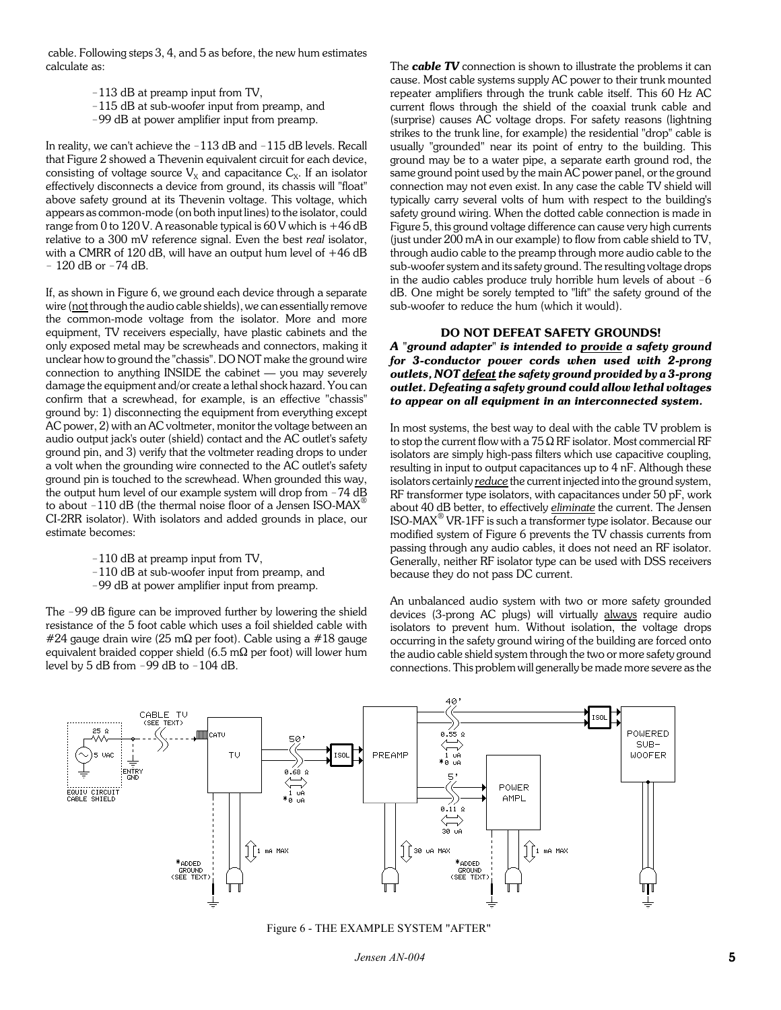cable. Following steps 3, 4, and 5 as before, the new hum estimates calculate as:

- -113 dB at preamp input from TV,
- -115 dB at sub-woofer input from preamp, and
- -99 dB at power amplifier input from preamp.

In reality, we can't achieve the  $-113$  dB and  $-115$  dB levels. Recall that Figure 2 showed a Thevenin equivalent circuit for each device, consisting of voltage source  $V_x$  and capacitance  $C_x$ . If an isolator effectively disconnects a device from ground, its chassis will "float" above safety ground at its Thevenin voltage. This voltage, which appears as common-mode (on both input lines) to the isolator, could range from 0 to 120 V. A reasonable typical is  $60$  V which is  $+46$  dB relative to a 300 mV reference signal. Even the best *real* isolator, with a CMRR of 120 dB, will have an output hum level of  $+46$  dB  $-120$  dB or  $-74$  dB.

If, as shown in Figure 6, we ground each device through a separate wire (not through the audio cable shields), we can essentially remove the common-mode voltage from the isolator. More and more equipment, TV receivers especially, have plastic cabinets and the only exposed metal may be screwheads and connectors, making it unclear how to ground the "chassis". DO NOT make the ground wire connection to anything INSIDE the cabinet  $-$  you may severely damage the equipment and/or create a lethal shock hazard. You can confirm that a screwhead, for example, is an effective "chassis" ground by: 1) disconnecting the equipment from everything except AC power, 2) with an AC voltmeter, monitor the voltage between an audio output jack's outer (shield) contact and the AC outlet's safety ground pin, and 3) verify that the voltmeter reading drops to under a volt when the grounding wire connected to the AC outlet's safety ground pin is touched to the screwhead. When grounded this way, the output hum level of our example system will drop from  $-74$  dB to about  $-110$  dB (the thermal noise floor of a Jensen ISO-MAX<sup>®</sup> CI-2RR isolator). With isolators and added grounds in place, our estimate becomes:

- $-110$  dB at preamp input from TV,
- -110 dB at sub-woofer input from preamp, and
- -99 dB at power amplifier input from preamp.

The -99 dB figure can be improved further by lowering the shield resistance of the 5 foot cable which uses a foil shielded cable with #24 gauge drain wire (25 m $\Omega$  per foot). Cable using a #18 gauge equivalent braided copper shield (6.5 m $\Omega$  per foot) will lower hum level by 5 dB from  $-99$  dB to  $-104$  dB.

The *cable TV* connection is shown to illustrate the problems it can cause. Most cable systems supply AC power to their trunk mounted repeater amplifiers through the trunk cable itself. This 60 Hz AC current flows through the shield of the coaxial trunk cable and (surprise) causes AC voltage drops. For safety reasons (lightning strikes to the trunk line, for example) the residential "drop" cable is usually "grounded" near its point of entry to the building. This ground may be to a water pipe, a separate earth ground rod, the same ground point used by the main AC power panel, or the ground connection may not even exist. In any case the cable TV shield will typically carry several volts of hum with respect to the building's safety ground wiring. When the dotted cable connection is made in Figure 5, this ground voltage difference can cause very high currents (just under 200 mA in our example) to flow from cable shield to TV, through audio cable to the preamp through more audio cable to the sub-woofer system and its safety ground. The resulting voltage drops in the audio cables produce truly horrible hum levels of about  $-6$ dB. One might be sorely tempted to "lift" the safety ground of the sub-woofer to reduce the hum (which it would).

## **DO NOT DEFEAT SAFETY GROUNDS!**

*A "ground adapter" is intended to provide a safety ground for 3-conductor power cords when used with 2-prong outlets, NOT defeat the safety ground provided by a 3-prong outlet. Defeating a safety ground could allow lethal voltages to appear on all equipment in an interconnected system.*

In most systems, the best way to deal with the cable TV problem is to stop the current flow with a  $75 \Omega$  RF isolator. Most commercial RF isolators are simply high-pass filters which use capacitive coupling, resulting in input to output capacitances up to 4 nF. Although these isolators certainly *reduce* the current injected into the ground system, RF transformer type isolators, with capacitances under 50 pF, work about 40 dB better, to effectively *eliminate* the current. The Jensen ISO-MAX<sup>®</sup> VR-1FF is such a transformer type isolator. Because our modified system of Figure 6 prevents the TV chassis currents from passing through any audio cables, it does not need an RF isolator. Generally, neither RF isolator type can be used with DSS receivers because they do not pass DC current.

An unbalanced audio system with two or more safety grounded devices (3-prong AC plugs) will virtually always require audio isolators to prevent hum. Without isolation, the voltage drops occurring in the safety ground wiring of the building are forced onto the audio cable shield system through the two or more safety ground connections. This problem will generally be made more severe as the



Figure 6 - THE EXAMPLE SYSTEM "AFTER"